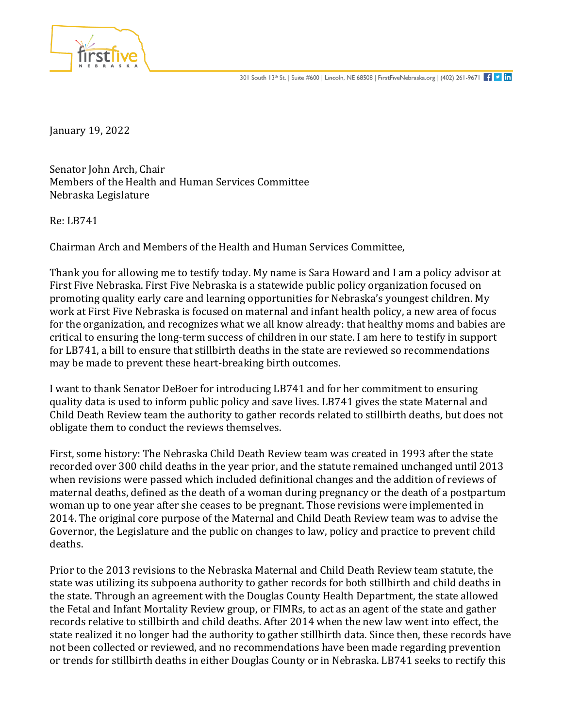

January 19, 2022

Senator John Arch, Chair Members of the Health and Human Services Committee Nebraska Legislature

Re: LB741

Chairman Arch and Members of the Health and Human Services Committee,

Thank you for allowing me to testify today. My name is Sara Howard and I am a policy advisor at First Five Nebraska. First Five Nebraska is a statewide public policy organization focused on promoting quality early care and learning opportunities for Nebraska's youngest children. My work at First Five Nebraska is focused on maternal and infant health policy, a new area of focus for the organization, and recognizes what we all know already: that healthy moms and babies are critical to ensuring the long-term success of children in our state. I am here to testify in support for LB741, a bill to ensure that stillbirth deaths in the state are reviewed so recommendations may be made to prevent these heart-breaking birth outcomes.

I want to thank Senator DeBoer for introducing LB741 and for her commitment to ensuring quality data is used to inform public policy and save lives. LB741 gives the state Maternal and Child Death Review team the authority to gather records related to stillbirth deaths, but does not obligate them to conduct the reviews themselves.

First, some history: The Nebraska Child Death Review team was created in 1993 after the state recorded over 300 child deaths in the year prior, and the statute remained unchanged until 2013 when revisions were passed which included definitional changes and the addition of reviews of maternal deaths, defined as the death of a woman during pregnancy or the death of a postpartum woman up to one year after she ceases to be pregnant. Those revisions were implemented in 2014. The original core purpose of the Maternal and Child Death Review team was to advise the Governor, the Legislature and the public on changes to law, policy and practice to prevent child deaths.

Prior to the 2013 revisions to the Nebraska Maternal and Child Death Review team statute, the state was utilizing its subpoena authority to gather records for both stillbirth and child deaths in the state. Through an agreement with the Douglas County Health Department, the state allowed the Fetal and Infant Mortality Review group, or FIMRs, to act as an agent of the state and gather records relative to stillbirth and child deaths. After 2014 when the new law went into effect, the state realized it no longer had the authority to gather stillbirth data. Since then, these records have not been collected or reviewed, and no recommendations have been made regarding prevention or trends for stillbirth deaths in either Douglas County or in Nebraska. LB741 seeks to rectify this